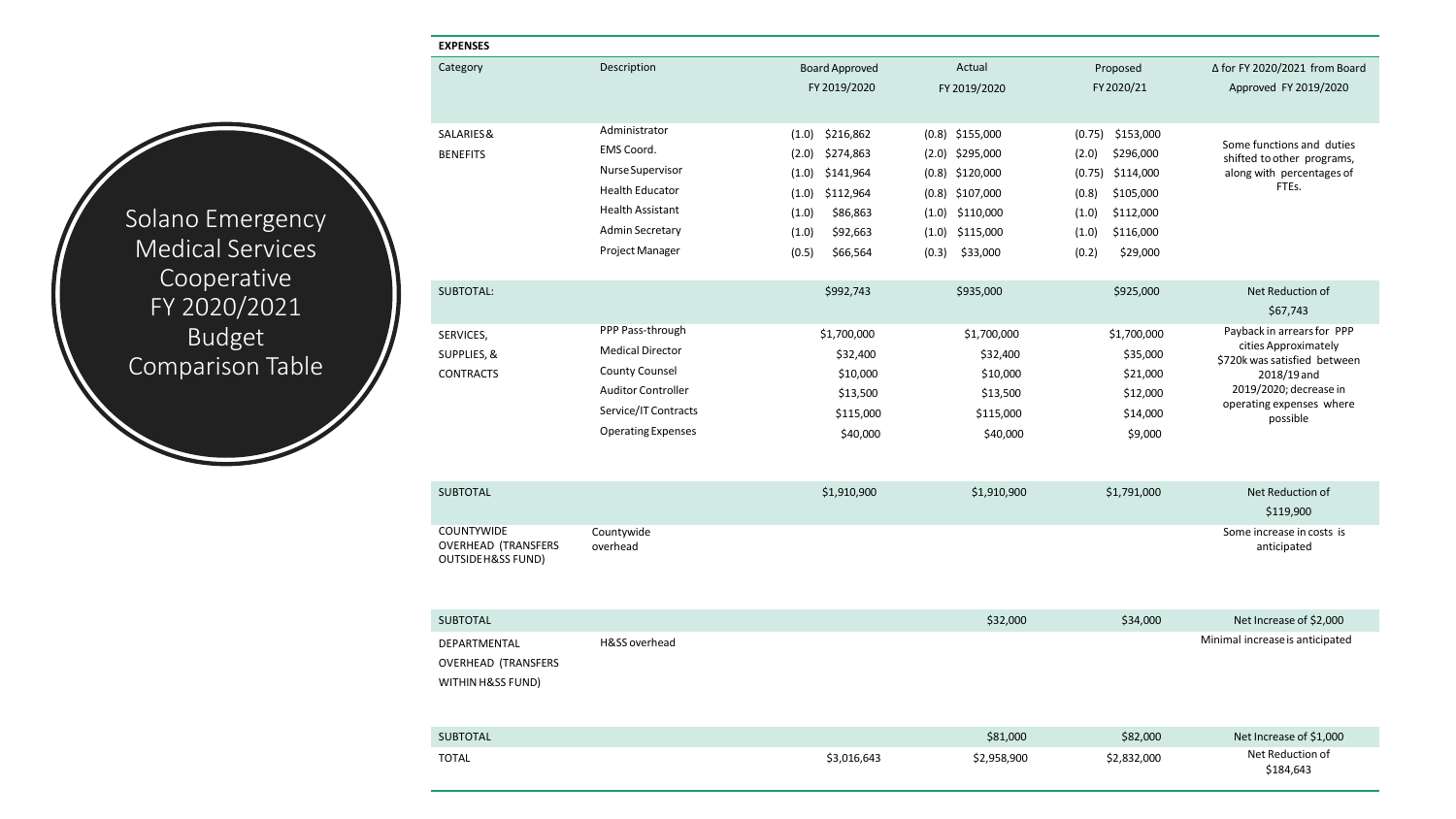Solano Emergency Medical Services Cooperative FY 2020/2021 Budget Comparison Table

| <b>EXPENSES</b>                                 |                           |                       |                   |                    |                                                         |
|-------------------------------------------------|---------------------------|-----------------------|-------------------|--------------------|---------------------------------------------------------|
| Category                                        | Description               | <b>Board Approved</b> | Actual            | Proposed           | ∆ for FY 2020/2021 from Board                           |
|                                                 |                           | FY 2019/2020          | FY 2019/2020      | FY 2020/21         | Approved FY 2019/2020                                   |
|                                                 |                           |                       |                   |                    |                                                         |
| SALARIES&                                       | Administrator             | \$216,862<br>(1.0)    | $(0.8)$ \$155,000 | $(0.75)$ \$153,000 |                                                         |
| <b>BENEFITS</b>                                 | EMS Coord.                | (2.0)<br>\$274,863    | $(2.0)$ \$295,000 | (2.0)<br>\$296,000 | Some functions and duties<br>shifted to other programs, |
|                                                 | Nurse Supervisor          | \$141,964<br>(1.0)    | $(0.8)$ \$120,000 | $(0.75)$ \$114,000 | along with percentages of                               |
|                                                 | <b>Health Educator</b>    | (1.0)<br>\$112,964    | $(0.8)$ \$107,000 | \$105,000<br>(0.8) | FTEs.                                                   |
|                                                 | <b>Health Assistant</b>   | (1.0)<br>\$86,863     | $(1.0)$ \$110,000 | \$112,000<br>(1.0) |                                                         |
|                                                 | <b>Admin Secretary</b>    | \$92,663<br>(1.0)     | $(1.0)$ \$115,000 | \$116,000<br>(1.0) |                                                         |
|                                                 | <b>Project Manager</b>    | (0.5)<br>\$66,564     | (0.3)<br>\$33,000 | \$29,000<br>(0.2)  |                                                         |
|                                                 |                           |                       |                   |                    |                                                         |
| SUBTOTAL:                                       |                           | \$992,743             | \$935,000         | \$925,000          | Net Reduction of                                        |
|                                                 |                           |                       |                   |                    | \$67,743                                                |
| SERVICES,                                       | PPP Pass-through          | \$1,700,000           | \$1,700,000       | \$1,700,000        | Payback in arrears for PPP                              |
| SUPPLIES, &                                     | <b>Medical Director</b>   | \$32,400              | \$32,400          | \$35,000           | cities Approximately<br>\$720k was satisfied between    |
| <b>CONTRACTS</b>                                | <b>County Counsel</b>     | \$10,000              | \$10,000          | \$21,000           | 2018/19 and                                             |
|                                                 | <b>Auditor Controller</b> | \$13,500              | \$13,500          | \$12,000           | 2019/2020; decrease in                                  |
|                                                 | Service/IT Contracts      | \$115,000             | \$115,000         | \$14,000           | operating expenses where<br>possible                    |
|                                                 | <b>Operating Expenses</b> | \$40,000              | \$40,000          | \$9,000            |                                                         |
|                                                 |                           |                       |                   |                    |                                                         |
|                                                 |                           |                       |                   |                    |                                                         |
| <b>SUBTOTAL</b>                                 |                           | \$1,910,900           | \$1,910,900       | \$1,791,000        | Net Reduction of                                        |
|                                                 |                           |                       |                   |                    | \$119,900                                               |
| <b>COUNTYWIDE</b><br><b>OVERHEAD (TRANSFERS</b> | Countywide<br>overhead    |                       |                   |                    | Some increase in costs is<br>anticipated                |
| <b>OUTSIDE H&amp;SS FUND)</b>                   |                           |                       |                   |                    |                                                         |
|                                                 |                           |                       |                   |                    |                                                         |
|                                                 |                           |                       |                   |                    |                                                         |
| <b>SUBTOTAL</b>                                 |                           |                       | \$32,000          | \$34,000           | Net Increase of \$2,000                                 |
| DEPARTMENTAL                                    | H&SS overhead             |                       |                   |                    | Minimal increase is anticipated                         |
| <b>OVERHEAD (TRANSFERS</b>                      |                           |                       |                   |                    |                                                         |
| WITHIN H&SS FUND)                               |                           |                       |                   |                    |                                                         |
|                                                 |                           |                       |                   |                    |                                                         |
|                                                 |                           |                       |                   |                    |                                                         |
| <b>SUBTOTAL</b>                                 |                           |                       | \$81,000          | \$82,000           | Net Increase of \$1,000                                 |
| <b>TOTAL</b>                                    |                           | \$3,016,643           | \$2,958,900       | \$2,832,000        | Net Reduction of<br>\$184,643                           |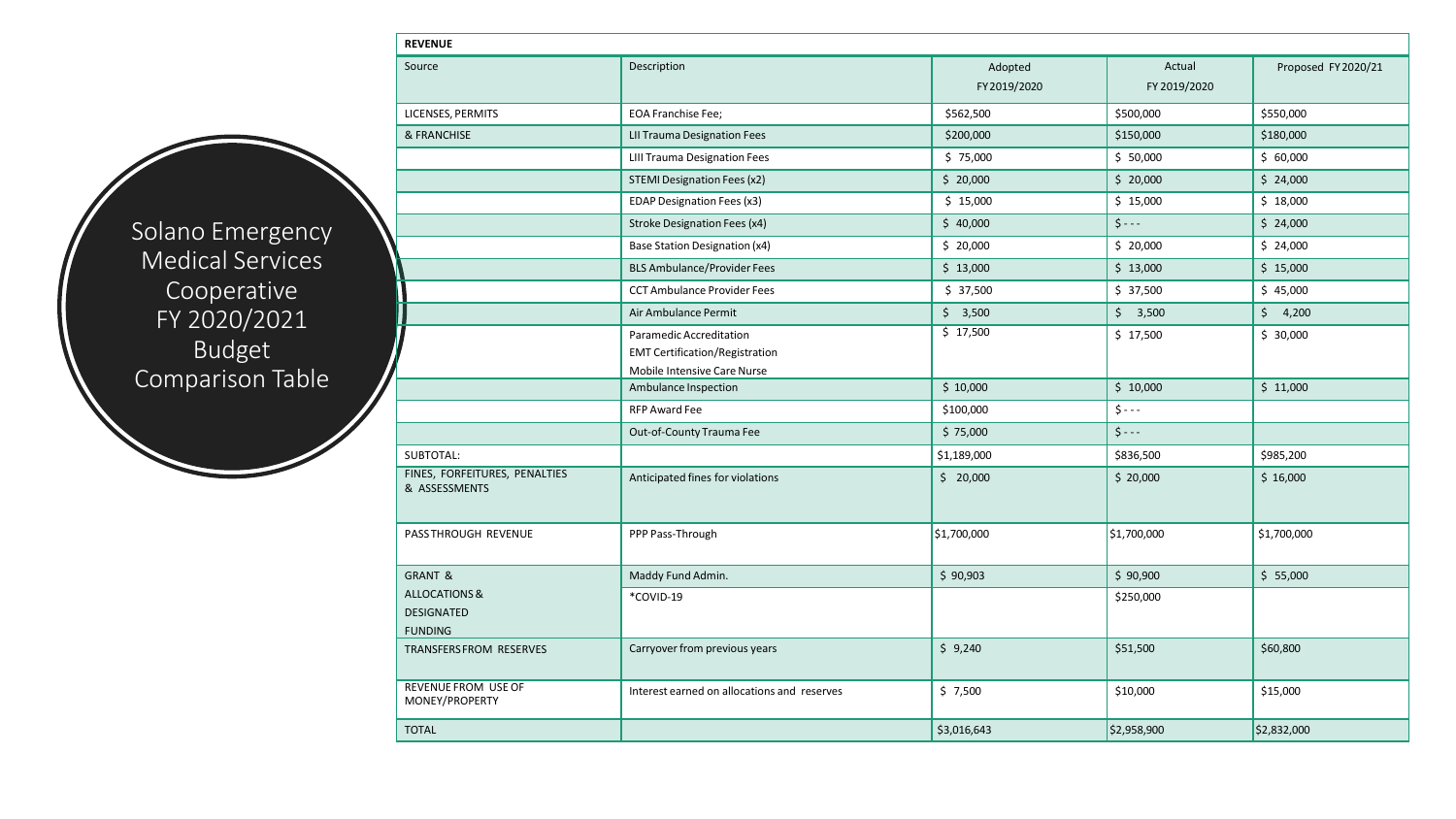**REVENUE** Source Research Control of the Description Control of the Description Adopted Source Research Adopted Source P FY2019/2020 Actual FY 2019/2020 Proposed FY2020/21 LICENSES, PERMITS EOA Franchise Fee; \$562,500 \$500,000 \$550,000 & FRANCHISE **LII Trauma Designation Fees** \$200,000 \$150,000 \$150,000 \$150,000 \$150,000 \$150,000 LIII Trauma Designation Fees **1990 12:30 12:30 12:30 12:30 12:30 12:30 12:30 12:30 12:30 12:30 12:30 12:30 12:30** STEMI Designation Fees (x2)  $\begin{vmatrix} 5 & 20,000 \\ 20,000 \end{vmatrix}$   $\begin{vmatrix} 5 & 20,000 \\ 5 & 20,000 \end{vmatrix}$   $\begin{vmatrix} 5 & 20,000 \\ 5 & 20,000 \end{vmatrix}$ EDAP Designation Fees (x3)  $\begin{vmatrix} 5 & 15,000 \\ 15 & 15,000 \end{vmatrix}$   $\begin{vmatrix} 5 & 15,000 \\ 15 & 15,000 \end{vmatrix}$   $\begin{vmatrix} 5 & 15,000 \\ 15 & 15,000 \end{vmatrix}$ Stroke Designation Fees (x4)  $\begin{vmatrix} 5 & 40,000 \\ -5 & 40,000 \end{vmatrix}$   $\begin{vmatrix} 5 & -2 \\ -1 & -1 \end{vmatrix}$   $\begin{vmatrix} 5 & 24,000 \\ -5 & -1 \end{vmatrix}$ Base Station Designation (x4) \$ 20,000 \$ 20,000 \$ 24,000 BLS Ambulance/Provider Fees \$ 13,000 \$ 13,000 \$ 13,000 \$ 15,000 CCT Ambulance Provider Fees  $\begin{vmatrix} 5 & 37,500 \\ 5 & 37,500 \end{vmatrix}$   $\begin{vmatrix} 5 & 37,500 \\ 5 & 37,500 \end{vmatrix}$   $\begin{vmatrix} 5 & 45,000 \\ 5 & 45,000 \end{vmatrix}$ Air Ambulance Permit 2000 \$ 3,500 \$ 3,500 \$ 4,200 \$ 4,200 Paramedic Accreditation EMT Certification/Registration Mobile Intensive Care Nurse  $\frac{1}{2}$  \$ 17,500 \$ 30,000 Ambulance Inspection \$ 10,000 \$ 10,000 \$ 11,000 RFP Award Fee \$100,000 \$ - - - Out-of-County Trauma Fee \$ 75,000 \$ - - - SUBTOTAL: \$1,189,000 \$836,500 \$985,200 FINES, FORFEITURES, PENALTIES & ASSESSMENTS Anticipated fines for violations  $\begin{vmatrix} 5 & 20,000 \\ 2 & 20,000 \end{vmatrix}$   $\begin{vmatrix} 5 & 20,000 \\ 2 & 20,000 \end{vmatrix}$   $\begin{vmatrix} 5 & 16,000 \\ 2 & 20,000 \end{vmatrix}$ PASSTHROUGH REVENUE | PPP Pass-Through \$1,700,000 \$1,700,000 \$1,700,000 \$1,700,000 \$1,700,000 \$1,700,000 \$1,700,000 GRANT & ALLOCATIONS & DESIGNATED FUNDING Maddy Fund Admin. \$ 90,903 \$ 90,903 \$ 90,900 \$ 90,900 \$ 95,000 \$ 55,000 \*COVID-19  $\bigcup$ TRANSFERSFROM RESERVES | Carryover from previous years | \$9,240 \$51,500 \$60,800 \$60,800 REVENUE FROM USE OF MONEY/PROPERTY Interest earned on allocations and reserves \$ 7,500 \$10,000 \$15,000 TOTAL \$3,016,643 \$2,832,000 \$2,832,000 \$2,832,000 \$3,016,643 \$3,016,643 \$2,958,900 \$2,832,000 \$2,832,000 \$2,832

Solano Emergency Medical Services Cooperative FY 2020/2021 Budget Comparison Table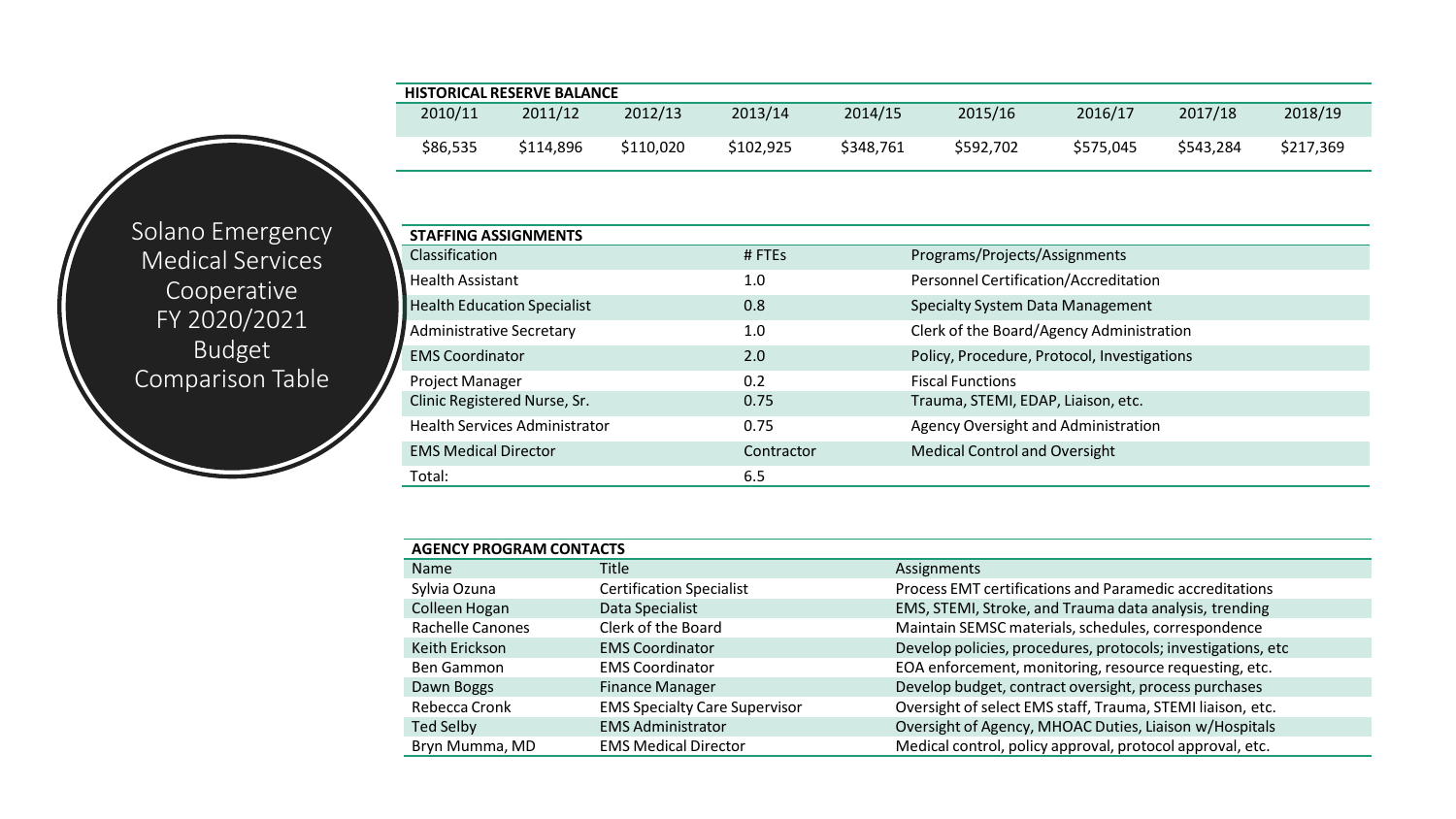| <b>HISTORICAL RESERVE BALANCE</b> |           |           |           |           |           |           |           |           |  |  |
|-----------------------------------|-----------|-----------|-----------|-----------|-----------|-----------|-----------|-----------|--|--|
| 2010/11                           | 2011/12   | 2012/13   | 2013/14   | 2014/15   | 2015/16   | 2016/17   | 2017/18   | 2018/19   |  |  |
| \$86,535                          | \$114.896 | \$110.020 | \$102,925 | \$348,761 | \$592.702 | \$575.045 | \$543,284 | \$217,369 |  |  |

Solano Emergency Medical Services Cooperative FY 2020/2021 Budget Comparison Table

| <b>STAFFING ASSIGNMENTS</b>          |            |                                             |
|--------------------------------------|------------|---------------------------------------------|
| <b>Classification</b>                | #FTEs      | Programs/Projects/Assignments               |
| <b>Health Assistant</b>              | 1.0        | Personnel Certification/Accreditation       |
| <b>Health Education Specialist</b>   | 0.8        | Specialty System Data Management            |
| Administrative Secretary             | 1.0        | Clerk of the Board/Agency Administration    |
| <b>EMS Coordinator</b>               | 2.0        | Policy, Procedure, Protocol, Investigations |
| <b>Project Manager</b>               | 0.2        | <b>Fiscal Functions</b>                     |
| Clinic Registered Nurse, Sr.         | 0.75       | Trauma, STEMI, EDAP, Liaison, etc.          |
| <b>Health Services Administrator</b> | 0.75       | Agency Oversight and Administration         |
| <b>EMS Medical Director</b>          | Contractor | <b>Medical Control and Oversight</b>        |
| Total:                               | 6.5        |                                             |

| <b>AGENCY PROGRAM CONTACTS</b> |                                      |                                                              |  |  |  |  |  |  |
|--------------------------------|--------------------------------------|--------------------------------------------------------------|--|--|--|--|--|--|
| <b>Name</b>                    | <b>Title</b>                         | Assignments                                                  |  |  |  |  |  |  |
| Sylvia Ozuna                   | <b>Certification Specialist</b>      | Process EMT certifications and Paramedic accreditations      |  |  |  |  |  |  |
| Colleen Hogan                  | Data Specialist                      | EMS, STEMI, Stroke, and Trauma data analysis, trending       |  |  |  |  |  |  |
| Rachelle Canones               | Clerk of the Board                   | Maintain SEMSC materials, schedules, correspondence          |  |  |  |  |  |  |
| Keith Erickson                 | <b>EMS Coordinator</b>               | Develop policies, procedures, protocols; investigations, etc |  |  |  |  |  |  |
| Ben Gammon                     | <b>EMS Coordinator</b>               | EOA enforcement, monitoring, resource requesting, etc.       |  |  |  |  |  |  |
| Dawn Boggs                     | <b>Finance Manager</b>               | Develop budget, contract oversight, process purchases        |  |  |  |  |  |  |
| Rebecca Cronk                  | <b>EMS Specialty Care Supervisor</b> | Oversight of select EMS staff, Trauma, STEMI liaison, etc.   |  |  |  |  |  |  |
| Ted Selby                      | <b>EMS Administrator</b>             | Oversight of Agency, MHOAC Duties, Liaison w/Hospitals       |  |  |  |  |  |  |
| Bryn Mumma, MD                 | <b>EMS Medical Director</b>          | Medical control, policy approval, protocol approval, etc.    |  |  |  |  |  |  |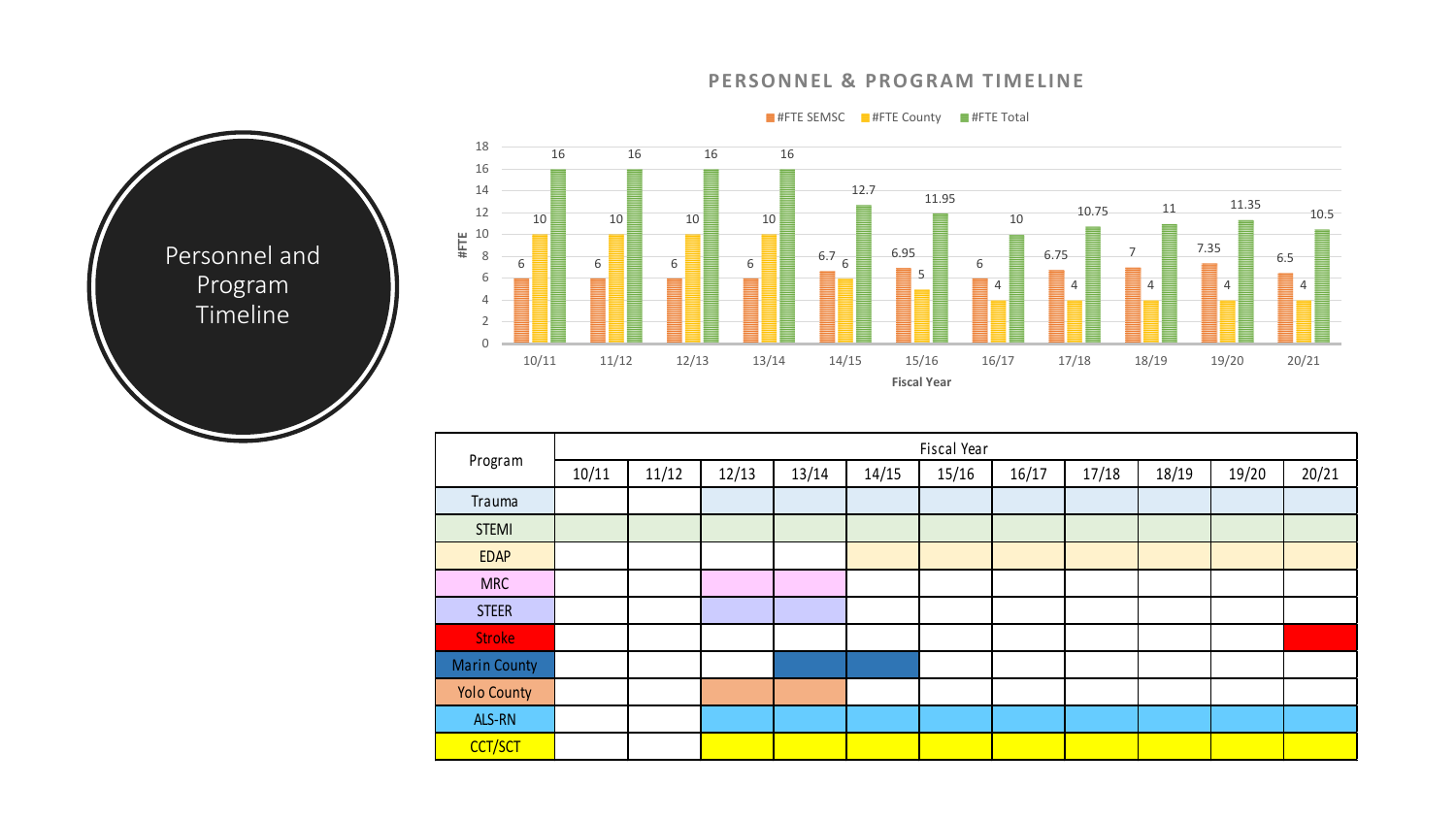## **PERSONNEL & PROGRAM TIMELINE**

 $\equiv$  #FTE SEMSC  $\equiv$  #FTE County  $\equiv$  #FTE Total



| 18<br>16<br>14<br>12<br>$\frac{12}{4}$ $\frac{10}{8}$<br>8<br>6<br>4<br>$\overline{2}$<br>0 | 16<br>Ξ<br>10<br>6<br>Ξ | 16<br>10<br>6 | 16<br>10<br>6 | 16<br>10<br>6 | 12.7<br>$6.7_{6}$ | 11.95<br>6.95<br>≣<br>5     | 10<br>6<br>4 | 10.75<br>6.75<br>▤<br>4 | 11<br>⇁<br>4 | 11.35<br>7.35<br>4 | 10.5<br>6.5<br>E<br>4 |
|---------------------------------------------------------------------------------------------|-------------------------|---------------|---------------|---------------|-------------------|-----------------------------|--------------|-------------------------|--------------|--------------------|-----------------------|
|                                                                                             | 10/11                   | 11/12         | 12/13         | 13/14         | 14/15             | 15/16<br><b>Fiscal Year</b> | 16/17        | 17/18                   | 18/19        | 19/20              | 20/21                 |

| Program             | Fiscal Year |       |       |       |       |       |       |       |       |       |       |
|---------------------|-------------|-------|-------|-------|-------|-------|-------|-------|-------|-------|-------|
|                     | 10/11       | 11/12 | 12/13 | 13/14 | 14/15 | 15/16 | 16/17 | 17/18 | 18/19 | 19/20 | 20/21 |
| Trauma              |             |       |       |       |       |       |       |       |       |       |       |
| <b>STEMI</b>        |             |       |       |       |       |       |       |       |       |       |       |
| <b>EDAP</b>         |             |       |       |       |       |       |       |       |       |       |       |
| <b>MRC</b>          |             |       |       |       |       |       |       |       |       |       |       |
| <b>STEER</b>        |             |       |       |       |       |       |       |       |       |       |       |
| <b>Stroke</b>       |             |       |       |       |       |       |       |       |       |       |       |
| <b>Marin County</b> |             |       |       |       |       |       |       |       |       |       |       |
| <b>Yolo County</b>  |             |       |       |       |       |       |       |       |       |       |       |
| ALS-RN              |             |       |       |       |       |       |       |       |       |       |       |
| CCT/SCT             |             |       |       |       |       |       |       |       |       |       |       |